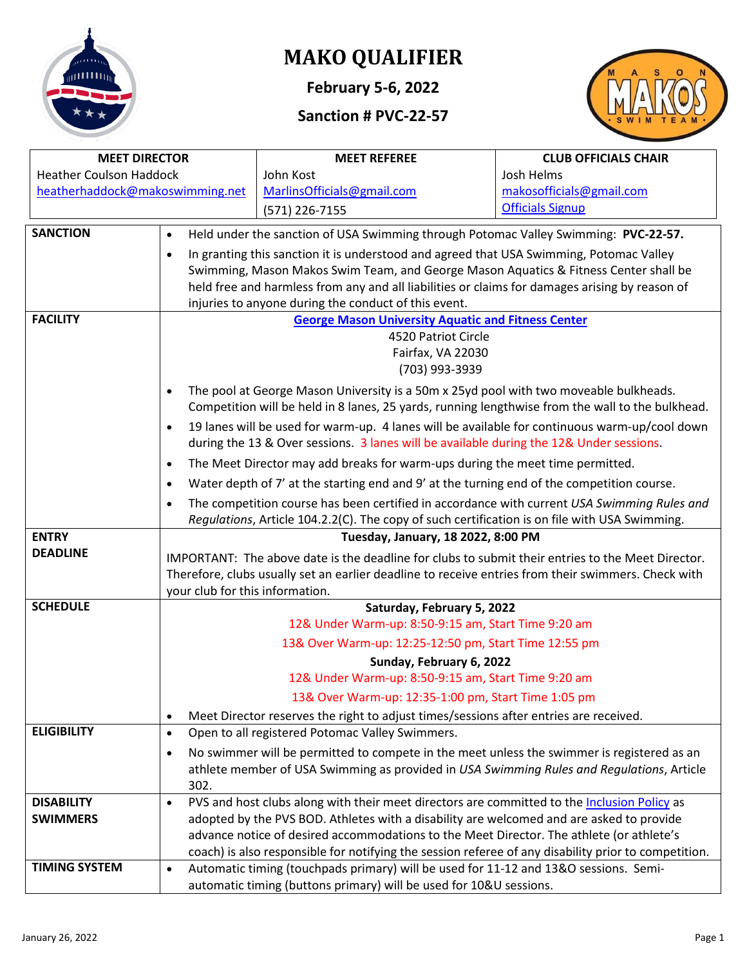

# **MAKO QUALIFIER**

**February 5-6, 2022**

## **Sanction # PVC-22-57**



| <b>MEET DIRECTOR</b>            |                                                                                               | <b>MEET REFEREE</b>                                                                                                                                                                                      | <b>CLUB OFFICIALS CHAIR</b> |  |  |  |  |  |  |  |
|---------------------------------|-----------------------------------------------------------------------------------------------|----------------------------------------------------------------------------------------------------------------------------------------------------------------------------------------------------------|-----------------------------|--|--|--|--|--|--|--|
| <b>Heather Coulson Haddock</b>  |                                                                                               | John Kost                                                                                                                                                                                                | Josh Helms                  |  |  |  |  |  |  |  |
| heatherhaddock@makoswimming.net |                                                                                               | MarlinsOfficials@gmail.com                                                                                                                                                                               | makosofficials@gmail.com    |  |  |  |  |  |  |  |
|                                 |                                                                                               | (571) 226-7155                                                                                                                                                                                           | <b>Officials Signup</b>     |  |  |  |  |  |  |  |
| <b>SANCTION</b>                 | $\bullet$                                                                                     | Held under the sanction of USA Swimming through Potomac Valley Swimming: PVC-22-57.                                                                                                                      |                             |  |  |  |  |  |  |  |
|                                 | $\bullet$                                                                                     | In granting this sanction it is understood and agreed that USA Swimming, Potomac Valley                                                                                                                  |                             |  |  |  |  |  |  |  |
|                                 |                                                                                               | Swimming, Mason Makos Swim Team, and George Mason Aquatics & Fitness Center shall be                                                                                                                     |                             |  |  |  |  |  |  |  |
|                                 |                                                                                               | held free and harmless from any and all liabilities or claims for damages arising by reason of                                                                                                           |                             |  |  |  |  |  |  |  |
|                                 |                                                                                               | injuries to anyone during the conduct of this event.                                                                                                                                                     |                             |  |  |  |  |  |  |  |
| <b>FACILITY</b>                 |                                                                                               | <b>George Mason University Aquatic and Fitness Center</b>                                                                                                                                                |                             |  |  |  |  |  |  |  |
|                                 |                                                                                               | 4520 Patriot Circle<br>Fairfax, VA 22030                                                                                                                                                                 |                             |  |  |  |  |  |  |  |
|                                 |                                                                                               | (703) 993-3939                                                                                                                                                                                           |                             |  |  |  |  |  |  |  |
|                                 | $\bullet$                                                                                     | The pool at George Mason University is a 50m x 25yd pool with two moveable bulkheads.                                                                                                                    |                             |  |  |  |  |  |  |  |
|                                 |                                                                                               | Competition will be held in 8 lanes, 25 yards, running lengthwise from the wall to the bulkhead.                                                                                                         |                             |  |  |  |  |  |  |  |
|                                 | $\bullet$                                                                                     | 19 lanes will be used for warm-up. 4 lanes will be available for continuous warm-up/cool down                                                                                                            |                             |  |  |  |  |  |  |  |
|                                 |                                                                                               | during the 13 & Over sessions. 3 lanes will be available during the 12& Under sessions.                                                                                                                  |                             |  |  |  |  |  |  |  |
|                                 | $\bullet$                                                                                     | The Meet Director may add breaks for warm-ups during the meet time permitted.                                                                                                                            |                             |  |  |  |  |  |  |  |
|                                 | $\bullet$                                                                                     | Water depth of 7' at the starting end and 9' at the turning end of the competition course.                                                                                                               |                             |  |  |  |  |  |  |  |
|                                 | $\bullet$                                                                                     | The competition course has been certified in accordance with current USA Swimming Rules and                                                                                                              |                             |  |  |  |  |  |  |  |
|                                 | Regulations, Article 104.2.2(C). The copy of such certification is on file with USA Swimming. |                                                                                                                                                                                                          |                             |  |  |  |  |  |  |  |
| <b>ENTRY</b>                    | Tuesday, January, 18 2022, 8:00 PM                                                            |                                                                                                                                                                                                          |                             |  |  |  |  |  |  |  |
| <b>DEADLINE</b>                 |                                                                                               | IMPORTANT: The above date is the deadline for clubs to submit their entries to the Meet Director.<br>Therefore, clubs usually set an earlier deadline to receive entries from their swimmers. Check with |                             |  |  |  |  |  |  |  |
|                                 |                                                                                               |                                                                                                                                                                                                          |                             |  |  |  |  |  |  |  |
| <b>SCHEDULE</b>                 | your club for this information.                                                               | Saturday, February 5, 2022                                                                                                                                                                               |                             |  |  |  |  |  |  |  |
|                                 |                                                                                               | 12& Under Warm-up: 8:50-9:15 am, Start Time 9:20 am                                                                                                                                                      |                             |  |  |  |  |  |  |  |
|                                 |                                                                                               | 13& Over Warm-up: 12:25-12:50 pm, Start Time 12:55 pm                                                                                                                                                    |                             |  |  |  |  |  |  |  |
|                                 | Sunday, February 6, 2022                                                                      |                                                                                                                                                                                                          |                             |  |  |  |  |  |  |  |
|                                 | 12& Under Warm-up: 8:50-9:15 am, Start Time 9:20 am                                           |                                                                                                                                                                                                          |                             |  |  |  |  |  |  |  |
|                                 | 13& Over Warm-up: 12:35-1:00 pm, Start Time 1:05 pm                                           |                                                                                                                                                                                                          |                             |  |  |  |  |  |  |  |
|                                 | $\bullet$                                                                                     | Meet Director reserves the right to adjust times/sessions after entries are received.                                                                                                                    |                             |  |  |  |  |  |  |  |
| <b>ELIGIBILITY</b>              | $\bullet$                                                                                     | Open to all registered Potomac Valley Swimmers.                                                                                                                                                          |                             |  |  |  |  |  |  |  |
|                                 | $\bullet$                                                                                     | No swimmer will be permitted to compete in the meet unless the swimmer is registered as an                                                                                                               |                             |  |  |  |  |  |  |  |
|                                 |                                                                                               | athlete member of USA Swimming as provided in USA Swimming Rules and Regulations, Article                                                                                                                |                             |  |  |  |  |  |  |  |
|                                 | 302.                                                                                          |                                                                                                                                                                                                          |                             |  |  |  |  |  |  |  |
| <b>DISABILITY</b>               | $\bullet$                                                                                     | PVS and host clubs along with their meet directors are committed to the Inclusion Policy as                                                                                                              |                             |  |  |  |  |  |  |  |
| <b>SWIMMERS</b>                 |                                                                                               | adopted by the PVS BOD. Athletes with a disability are welcomed and are asked to provide                                                                                                                 |                             |  |  |  |  |  |  |  |
|                                 |                                                                                               | advance notice of desired accommodations to the Meet Director. The athlete (or athlete's<br>coach) is also responsible for notifying the session referee of any disability prior to competition.         |                             |  |  |  |  |  |  |  |
| <b>TIMING SYSTEM</b>            | $\bullet$                                                                                     | Automatic timing (touchpads primary) will be used for 11-12 and 13&O sessions. Semi-                                                                                                                     |                             |  |  |  |  |  |  |  |
|                                 |                                                                                               | automatic timing (buttons primary) will be used for 10&U sessions.                                                                                                                                       |                             |  |  |  |  |  |  |  |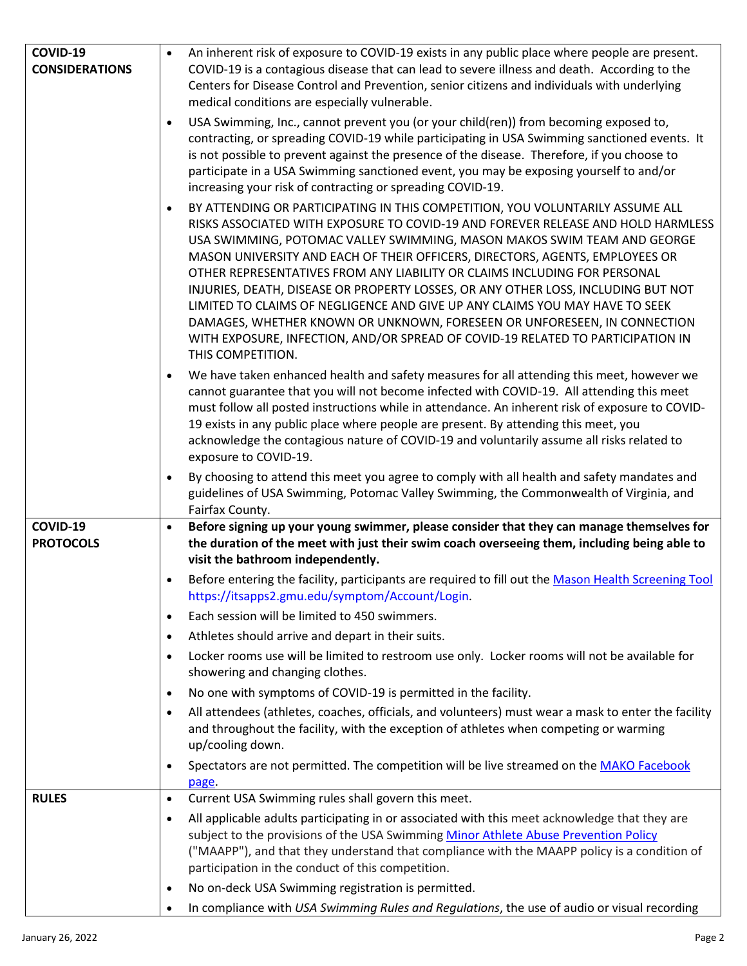| COVID-19                     | An inherent risk of exposure to COVID-19 exists in any public place where people are present.                                                                                                                                                                                                                                                                                                                                                                                                                                                                                                                                                                                                                                                                                  |
|------------------------------|--------------------------------------------------------------------------------------------------------------------------------------------------------------------------------------------------------------------------------------------------------------------------------------------------------------------------------------------------------------------------------------------------------------------------------------------------------------------------------------------------------------------------------------------------------------------------------------------------------------------------------------------------------------------------------------------------------------------------------------------------------------------------------|
| <b>CONSIDERATIONS</b>        | COVID-19 is a contagious disease that can lead to severe illness and death. According to the                                                                                                                                                                                                                                                                                                                                                                                                                                                                                                                                                                                                                                                                                   |
|                              | Centers for Disease Control and Prevention, senior citizens and individuals with underlying                                                                                                                                                                                                                                                                                                                                                                                                                                                                                                                                                                                                                                                                                    |
|                              | medical conditions are especially vulnerable.                                                                                                                                                                                                                                                                                                                                                                                                                                                                                                                                                                                                                                                                                                                                  |
|                              | USA Swimming, Inc., cannot prevent you (or your child(ren)) from becoming exposed to,<br>$\bullet$<br>contracting, or spreading COVID-19 while participating in USA Swimming sanctioned events. It<br>is not possible to prevent against the presence of the disease. Therefore, if you choose to<br>participate in a USA Swimming sanctioned event, you may be exposing yourself to and/or<br>increasing your risk of contracting or spreading COVID-19.                                                                                                                                                                                                                                                                                                                      |
|                              | BY ATTENDING OR PARTICIPATING IN THIS COMPETITION, YOU VOLUNTARILY ASSUME ALL<br>$\bullet$<br>RISKS ASSOCIATED WITH EXPOSURE TO COVID-19 AND FOREVER RELEASE AND HOLD HARMLESS<br>USA SWIMMING, POTOMAC VALLEY SWIMMING, MASON MAKOS SWIM TEAM AND GEORGE<br>MASON UNIVERSITY AND EACH OF THEIR OFFICERS, DIRECTORS, AGENTS, EMPLOYEES OR<br>OTHER REPRESENTATIVES FROM ANY LIABILITY OR CLAIMS INCLUDING FOR PERSONAL<br>INJURIES, DEATH, DISEASE OR PROPERTY LOSSES, OR ANY OTHER LOSS, INCLUDING BUT NOT<br>LIMITED TO CLAIMS OF NEGLIGENCE AND GIVE UP ANY CLAIMS YOU MAY HAVE TO SEEK<br>DAMAGES, WHETHER KNOWN OR UNKNOWN, FORESEEN OR UNFORESEEN, IN CONNECTION<br>WITH EXPOSURE, INFECTION, AND/OR SPREAD OF COVID-19 RELATED TO PARTICIPATION IN<br>THIS COMPETITION. |
|                              | We have taken enhanced health and safety measures for all attending this meet, however we<br>$\bullet$<br>cannot guarantee that you will not become infected with COVID-19. All attending this meet<br>must follow all posted instructions while in attendance. An inherent risk of exposure to COVID-<br>19 exists in any public place where people are present. By attending this meet, you<br>acknowledge the contagious nature of COVID-19 and voluntarily assume all risks related to<br>exposure to COVID-19.                                                                                                                                                                                                                                                            |
|                              | By choosing to attend this meet you agree to comply with all health and safety mandates and<br>$\bullet$<br>guidelines of USA Swimming, Potomac Valley Swimming, the Commonwealth of Virginia, and                                                                                                                                                                                                                                                                                                                                                                                                                                                                                                                                                                             |
|                              | Fairfax County.                                                                                                                                                                                                                                                                                                                                                                                                                                                                                                                                                                                                                                                                                                                                                                |
| COVID-19<br><b>PROTOCOLS</b> | Before signing up your young swimmer, please consider that they can manage themselves for<br>$\bullet$<br>the duration of the meet with just their swim coach overseeing them, including being able to                                                                                                                                                                                                                                                                                                                                                                                                                                                                                                                                                                         |
|                              | visit the bathroom independently.                                                                                                                                                                                                                                                                                                                                                                                                                                                                                                                                                                                                                                                                                                                                              |
|                              |                                                                                                                                                                                                                                                                                                                                                                                                                                                                                                                                                                                                                                                                                                                                                                                |
|                              |                                                                                                                                                                                                                                                                                                                                                                                                                                                                                                                                                                                                                                                                                                                                                                                |
|                              | Before entering the facility, participants are required to fill out the Mason Health Screening Tool<br>$\bullet$                                                                                                                                                                                                                                                                                                                                                                                                                                                                                                                                                                                                                                                               |
|                              | https://itsapps2.gmu.edu/symptom/Account/Login.                                                                                                                                                                                                                                                                                                                                                                                                                                                                                                                                                                                                                                                                                                                                |
|                              | Each session will be limited to 450 swimmers.<br>$\bullet$                                                                                                                                                                                                                                                                                                                                                                                                                                                                                                                                                                                                                                                                                                                     |
|                              | Athletes should arrive and depart in their suits.<br>٠                                                                                                                                                                                                                                                                                                                                                                                                                                                                                                                                                                                                                                                                                                                         |
|                              | Locker rooms use will be limited to restroom use only. Locker rooms will not be available for<br>$\bullet$                                                                                                                                                                                                                                                                                                                                                                                                                                                                                                                                                                                                                                                                     |
|                              | showering and changing clothes.                                                                                                                                                                                                                                                                                                                                                                                                                                                                                                                                                                                                                                                                                                                                                |
|                              | No one with symptoms of COVID-19 is permitted in the facility.<br>$\bullet$<br>$\bullet$                                                                                                                                                                                                                                                                                                                                                                                                                                                                                                                                                                                                                                                                                       |
|                              | All attendees (athletes, coaches, officials, and volunteers) must wear a mask to enter the facility<br>and throughout the facility, with the exception of athletes when competing or warming<br>up/cooling down.                                                                                                                                                                                                                                                                                                                                                                                                                                                                                                                                                               |
|                              | Spectators are not permitted. The competition will be live streamed on the MAKO Facebook<br>$\bullet$<br>page.                                                                                                                                                                                                                                                                                                                                                                                                                                                                                                                                                                                                                                                                 |
| <b>RULES</b>                 | Current USA Swimming rules shall govern this meet.<br>$\bullet$                                                                                                                                                                                                                                                                                                                                                                                                                                                                                                                                                                                                                                                                                                                |
|                              | All applicable adults participating in or associated with this meet acknowledge that they are<br>٠<br>subject to the provisions of the USA Swimming Minor Athlete Abuse Prevention Policy<br>("MAAPP"), and that they understand that compliance with the MAAPP policy is a condition of<br>participation in the conduct of this competition.                                                                                                                                                                                                                                                                                                                                                                                                                                  |
|                              | No on-deck USA Swimming registration is permitted.<br>٠                                                                                                                                                                                                                                                                                                                                                                                                                                                                                                                                                                                                                                                                                                                        |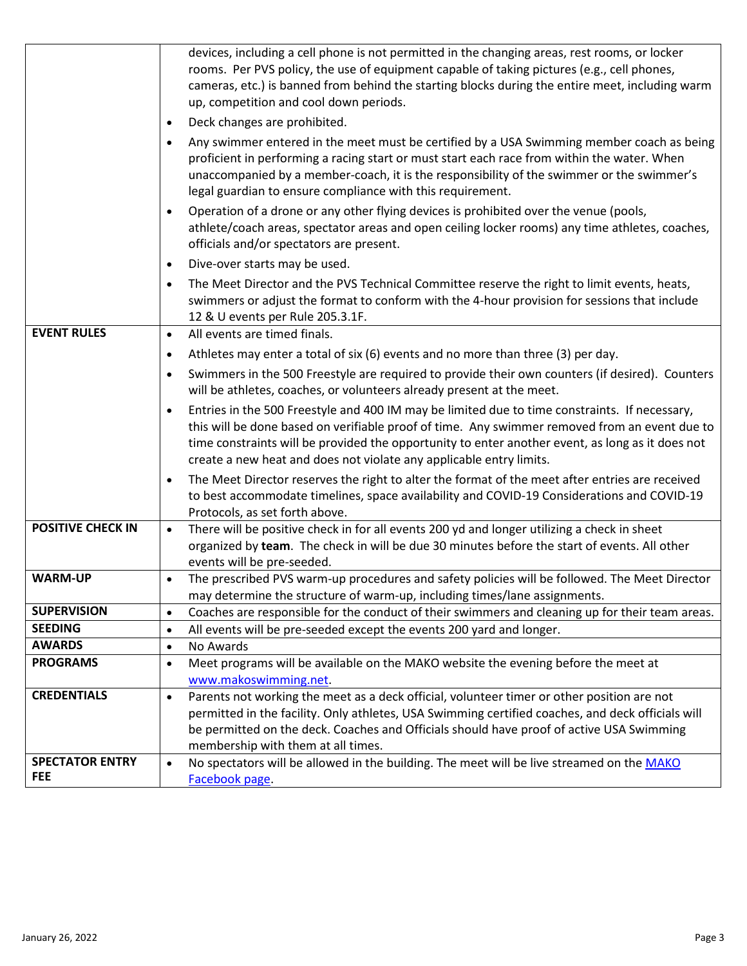|                                      | devices, including a cell phone is not permitted in the changing areas, rest rooms, or locker<br>rooms. Per PVS policy, the use of equipment capable of taking pictures (e.g., cell phones,<br>cameras, etc.) is banned from behind the starting blocks during the entire meet, including warm<br>up, competition and cool down periods.                                               |
|--------------------------------------|----------------------------------------------------------------------------------------------------------------------------------------------------------------------------------------------------------------------------------------------------------------------------------------------------------------------------------------------------------------------------------------|
|                                      | Deck changes are prohibited.<br>$\bullet$                                                                                                                                                                                                                                                                                                                                              |
|                                      | Any swimmer entered in the meet must be certified by a USA Swimming member coach as being<br>$\bullet$<br>proficient in performing a racing start or must start each race from within the water. When<br>unaccompanied by a member-coach, it is the responsibility of the swimmer or the swimmer's<br>legal guardian to ensure compliance with this requirement.                       |
|                                      | Operation of a drone or any other flying devices is prohibited over the venue (pools,<br>$\bullet$<br>athlete/coach areas, spectator areas and open ceiling locker rooms) any time athletes, coaches,<br>officials and/or spectators are present.                                                                                                                                      |
|                                      | Dive-over starts may be used.<br>$\bullet$                                                                                                                                                                                                                                                                                                                                             |
|                                      | The Meet Director and the PVS Technical Committee reserve the right to limit events, heats,<br>$\bullet$<br>swimmers or adjust the format to conform with the 4-hour provision for sessions that include<br>12 & U events per Rule 205.3.1F.                                                                                                                                           |
| <b>EVENT RULES</b>                   | All events are timed finals.<br>$\bullet$                                                                                                                                                                                                                                                                                                                                              |
|                                      | Athletes may enter a total of six (6) events and no more than three (3) per day.<br>$\bullet$                                                                                                                                                                                                                                                                                          |
|                                      | Swimmers in the 500 Freestyle are required to provide their own counters (if desired). Counters<br>$\bullet$<br>will be athletes, coaches, or volunteers already present at the meet.                                                                                                                                                                                                  |
|                                      | Entries in the 500 Freestyle and 400 IM may be limited due to time constraints. If necessary,<br>$\bullet$<br>this will be done based on verifiable proof of time. Any swimmer removed from an event due to<br>time constraints will be provided the opportunity to enter another event, as long as it does not<br>create a new heat and does not violate any applicable entry limits. |
|                                      | The Meet Director reserves the right to alter the format of the meet after entries are received<br>to best accommodate timelines, space availability and COVID-19 Considerations and COVID-19<br>Protocols, as set forth above.                                                                                                                                                        |
| <b>POSITIVE CHECK IN</b>             | There will be positive check in for all events 200 yd and longer utilizing a check in sheet<br>$\bullet$<br>organized by team. The check in will be due 30 minutes before the start of events. All other<br>events will be pre-seeded.                                                                                                                                                 |
| <b>WARM-UP</b>                       | The prescribed PVS warm-up procedures and safety policies will be followed. The Meet Director<br>$\bullet$<br>may determine the structure of warm-up, including times/lane assignments.                                                                                                                                                                                                |
| <b>SUPERVISION</b>                   | Coaches are responsible for the conduct of their swimmers and cleaning up for their team areas.<br>$\bullet$                                                                                                                                                                                                                                                                           |
| <b>SEEDING</b>                       | All events will be pre-seeded except the events 200 yard and longer.<br>$\bullet$                                                                                                                                                                                                                                                                                                      |
| <b>AWARDS</b>                        | No Awards<br>$\bullet$                                                                                                                                                                                                                                                                                                                                                                 |
| <b>PROGRAMS</b>                      | Meet programs will be available on the MAKO website the evening before the meet at<br>$\bullet$<br>www.makoswimming.net.                                                                                                                                                                                                                                                               |
| <b>CREDENTIALS</b>                   | Parents not working the meet as a deck official, volunteer timer or other position are not<br>$\bullet$<br>permitted in the facility. Only athletes, USA Swimming certified coaches, and deck officials will<br>be permitted on the deck. Coaches and Officials should have proof of active USA Swimming<br>membership with them at all times.                                         |
| <b>SPECTATOR ENTRY</b><br><b>FEE</b> | No spectators will be allowed in the building. The meet will be live streamed on the MAKO<br>$\bullet$<br>Facebook page.                                                                                                                                                                                                                                                               |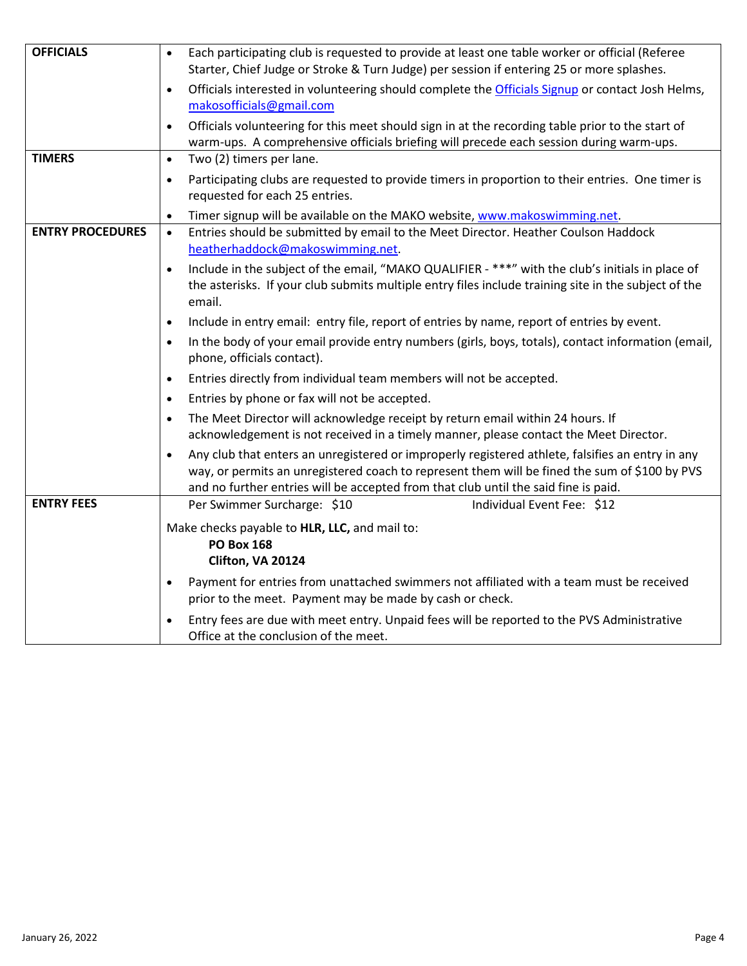| <b>OFFICIALS</b>        | Each participating club is requested to provide at least one table worker or official (Referee<br>$\bullet$<br>Starter, Chief Judge or Stroke & Turn Judge) per session if entering 25 or more splashes.                                                                                              |
|-------------------------|-------------------------------------------------------------------------------------------------------------------------------------------------------------------------------------------------------------------------------------------------------------------------------------------------------|
|                         |                                                                                                                                                                                                                                                                                                       |
|                         | Officials interested in volunteering should complete the Officials Signup or contact Josh Helms,<br>$\bullet$                                                                                                                                                                                         |
|                         | makosofficials@gmail.com                                                                                                                                                                                                                                                                              |
|                         | Officials volunteering for this meet should sign in at the recording table prior to the start of<br>$\bullet$                                                                                                                                                                                         |
|                         | warm-ups. A comprehensive officials briefing will precede each session during warm-ups.                                                                                                                                                                                                               |
| <b>TIMERS</b>           | Two (2) timers per lane.<br>$\bullet$                                                                                                                                                                                                                                                                 |
|                         | Participating clubs are requested to provide timers in proportion to their entries. One timer is<br>$\bullet$<br>requested for each 25 entries.                                                                                                                                                       |
|                         | Timer signup will be available on the MAKO website, www.makoswimming.net.<br>$\bullet$                                                                                                                                                                                                                |
| <b>ENTRY PROCEDURES</b> | Entries should be submitted by email to the Meet Director. Heather Coulson Haddock<br>$\bullet$<br>heatherhaddock@makoswimming.net.                                                                                                                                                                   |
|                         | Include in the subject of the email, "MAKO QUALIFIER - ***" with the club's initials in place of<br>$\bullet$                                                                                                                                                                                         |
|                         | the asterisks. If your club submits multiple entry files include training site in the subject of the<br>email.                                                                                                                                                                                        |
|                         | Include in entry email: entry file, report of entries by name, report of entries by event.<br>$\bullet$                                                                                                                                                                                               |
|                         | In the body of your email provide entry numbers (girls, boys, totals), contact information (email,<br>$\bullet$<br>phone, officials contact).                                                                                                                                                         |
|                         | Entries directly from individual team members will not be accepted.<br>$\bullet$                                                                                                                                                                                                                      |
|                         | Entries by phone or fax will not be accepted.<br>$\bullet$                                                                                                                                                                                                                                            |
|                         | The Meet Director will acknowledge receipt by return email within 24 hours. If<br>$\bullet$<br>acknowledgement is not received in a timely manner, please contact the Meet Director.                                                                                                                  |
|                         | Any club that enters an unregistered or improperly registered athlete, falsifies an entry in any<br>$\bullet$<br>way, or permits an unregistered coach to represent them will be fined the sum of \$100 by PVS<br>and no further entries will be accepted from that club until the said fine is paid. |
| <b>ENTRY FEES</b>       | Per Swimmer Surcharge: \$10<br>Individual Event Fee: \$12                                                                                                                                                                                                                                             |
|                         | Make checks payable to HLR, LLC, and mail to:<br><b>PO Box 168</b><br>Clifton, VA 20124                                                                                                                                                                                                               |
|                         | Payment for entries from unattached swimmers not affiliated with a team must be received<br>$\bullet$<br>prior to the meet. Payment may be made by cash or check.                                                                                                                                     |
|                         | Entry fees are due with meet entry. Unpaid fees will be reported to the PVS Administrative<br>$\bullet$<br>Office at the conclusion of the meet.                                                                                                                                                      |